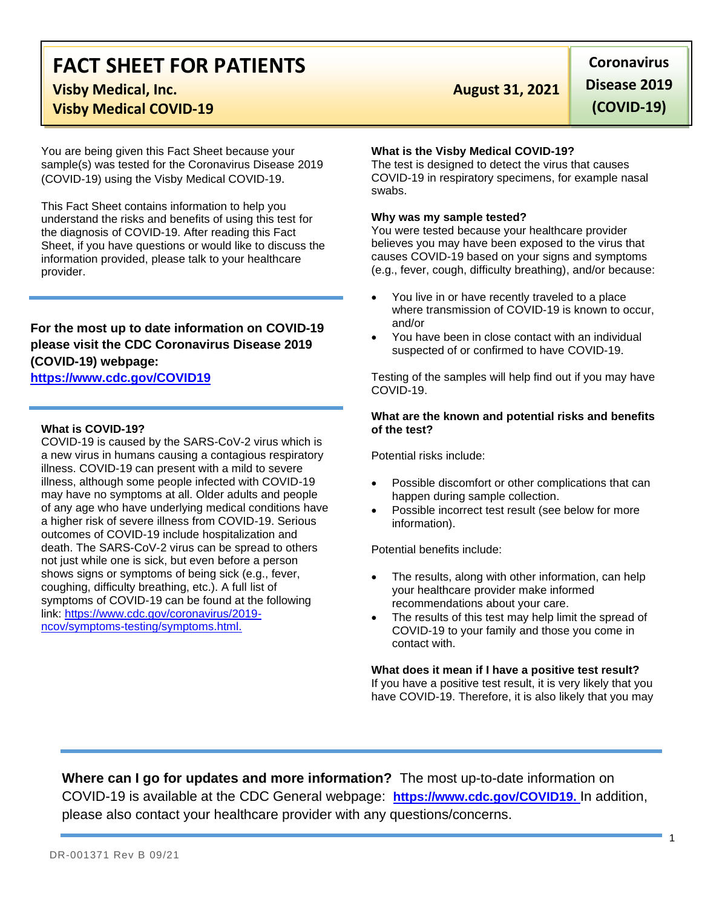# **FACT SHEET FOR PATIENTS Visby Medical, Inc. August 31, 2021**

## **Visby Medical COVID-19**

You are being given this Fact Sheet because your sample(s) was tested for the Coronavirus Disease 2019 (COVID-19) using the Visby Medical COVID-19.

This Fact Sheet contains information to help you understand the risks and benefits of using this test for the diagnosis of COVID-19. After reading this Fact Sheet, if you have questions or would like to discuss the information provided, please talk to your healthcare provider.

## **For the most up to date information on COVID-19 please visit the CDC Coronavirus Disease 2019 (COVID-19) webpage:**

## **[https://www.cdc.gov/COVID19](https://www.cdc.gov/nCoV)**

### **What is COVID-19?**

COVID-19 is caused by the SARS-CoV-2 virus which is a new virus in humans causing a contagious respiratory illness. COVID-19 can present with a mild to severe illness, although some people infected with COVID-19 may have no symptoms at all. Older adults and people of any age who have underlying medical conditions have a higher risk of severe illness from COVID-19. Serious outcomes of COVID-19 include hospitalization and death. The SARS-CoV-2 virus can be spread to others not just while one is sick, but even before a person shows signs or symptoms of being sick (e.g., fever, coughing, difficulty breathing, etc.). A full list of symptoms of COVID-19 can be found at the following link: [https://www.cdc.gov/coronavirus/2019](https://www.cdc.gov/coronavirus/2019-ncov/symptoms-testing/symptoms.html) [ncov/symptoms-testing/symptoms.html.](https://www.cdc.gov/coronavirus/2019-ncov/symptoms-testing/symptoms.html)

**Coronavirus Disease 2019 (COVID-19)**

#### **What is the Visby Medical COVID-19?**

The test is designed to detect the virus that causes COVID-19 in respiratory specimens, for example nasal swabs.

#### **Why was my sample tested?**

You were tested because your healthcare provider believes you may have been exposed to the virus that causes COVID-19 based on your signs and symptoms (e.g., fever, cough, difficulty breathing), and/or because:

- You live in or have recently traveled to a place where transmission of COVID-19 is known to occur, and/or
- You have been in close contact with an individual suspected of or confirmed to have COVID-19.

Testing of the samples will help find out if you may have COVID-19.

#### **What are the known and potential risks and benefits of the test?**

Potential risks include:

- Possible discomfort or other complications that can happen during sample collection.
- Possible incorrect test result (see below for more information).

Potential benefits include:

- The results, along with other information, can help your healthcare provider make informed recommendations about your care.
- The results of this test may help limit the spread of COVID-19 to your family and those you come in contact with.

**What does it mean if I have a positive test result?** If you have a positive test result, it is very likely that you have COVID-19. Therefore, it is also likely that you may

**Where can I go for updates and more information?** The most up-to-date information on COVID-19 is available at the CDC General webpage: **[https://www.cdc.gov/COVID19.](https://www.cdc.gov/nCoV)** In addition, please also contact your healthcare provider with any questions/concerns.